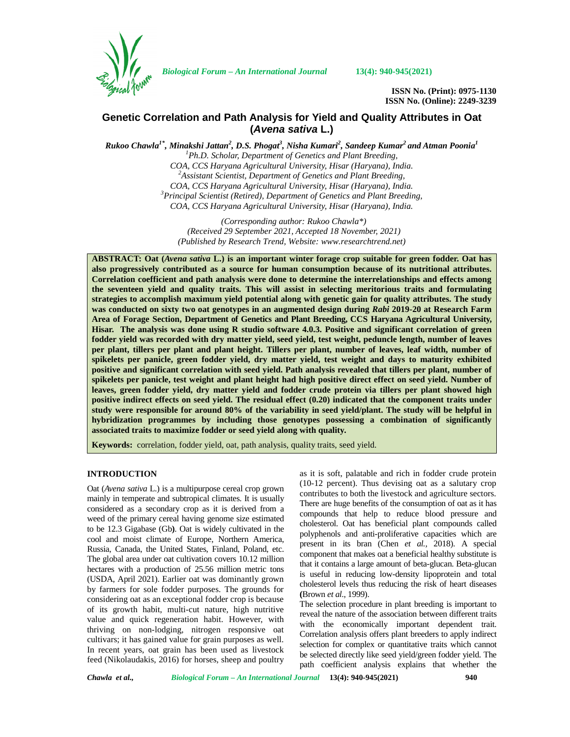

*Biological Forum – An International Journal* **13(4): 940-945(2021)**

**ISSN No. (Print): 0975-1130 ISSN No. (Online): 2249-3239**

# **Genetic Correlation and Path Analysis for Yield and Quality Attributes in Oat (***Avena sativa* **L.)**

*Rukoo Chawla1\*, Minakshi Jattan<sup>2</sup> , D.S. Phogat<sup>3</sup> , Nisha Kumari<sup>2</sup> , Sandeep Kumar<sup>2</sup> and Atman Poonia<sup>1</sup> <sup>1</sup>Ph.D. Scholar, Department of Genetics and Plant Breeding, COA, CCS Haryana Agricultural University, Hisar (Haryana), India. <sup>2</sup>Assistant Scientist, Department of Genetics and Plant Breeding, COA, CCS Haryana Agricultural University, Hisar (Haryana), India. <sup>3</sup>Principal Scientist (Retired), Department of Genetics and Plant Breeding, COA, CCS Haryana Agricultural University, Hisar (Haryana), India.*

> *(Corresponding author: Rukoo Chawla\*) (Received 29 September 2021, Accepted 18 November, 2021) (Published by Research Trend, Website: [www.researchtrend.net\)](www.researchtrend.net)*

**ABSTRACT: Oat (***Avena sativa* **L.) is an important winter forage crop suitable for green fodder. Oat has also progressively contributed as a source for human consumption because of its nutritional attributes. Correlation coefficient and path analysis were done to determine the interrelationships and effects among the seventeen yield and quality traits. This will assist in selecting meritorious traits and formulating strategies to accomplish maximum yield potential along with genetic gain for quality attributes. The study was conducted on sixty two oat genotypes in an augmented design during** *Rabi* **2019-20 at Research Farm Area of Forage Section, Department of Genetics and Plant Breeding, CCS Haryana Agricultural University, Hisar. The analysis was done using R studio software 4.0.3. Positive and significant correlation of green fodder yield was recorded with dry matter yield, seed yield, test weight, peduncle length, number of leaves per plant, tillers per plant and plant height. Tillers per plant, number of leaves, leaf width, number of spikelets per panicle, green fodder yield, dry matter yield, test weight and days to maturity exhibited positive and significant correlation with seed yield. Path analysis revealed that tillers per plant, number of spikelets per panicle, test weight and plant height had high positive direct effect on seed yield. Number of leaves, green fodder yield, dry matter yield and fodder crude protein via tillers per plant showed high positive indirect effects on seed yield. The residual effect (0.20) indicated that the component traits under study were responsible for around 80% of the variability in seed yield/plant. The study will be helpful in hybridization programmes by including those genotypes possessing a combination of significantly associated traits to maximize fodder or seed yield along with quality.**

**Keywords:** correlation, fodder yield, oat, path analysis, quality traits, seed yield.

### **INTRODUCTION**

Oat (*Avena sativa* L.) is a multipurpose cereal crop grown mainly in temperate and subtropical climates. It is usually considered as a secondary crop as it is derived from a weed of the primary cereal having genome size estimated to be 12.3 Gigabase (Gb**)**. Oat is widely cultivated in the cool and moist climate of Europe, Northern America, Russia, Canada, the United States, Finland, Poland, etc. The global area under oat cultivation covers 10.12 million hectares with a production of 25.56 million metric tons (USDA, April 2021). Earlier oat was dominantly grown by farmers for sole fodder purposes. The grounds for considering oat as an exceptional fodder crop is because of its growth habit, multi-cut nature, high nutritive value and quick regeneration habit. However, with thriving on non-lodging, nitrogen responsive oat cultivars; it has gained value for grain purposes as well. In recent years, oat grain has been used as livestock feed (Nikolaudakis, 2016) for horses, sheep and poultry

as it is soft, palatable and rich in fodder crude protein (10-12 percent). Thus devising oat as a salutary crop contributes to both the livestock and agriculture sectors. There are huge benefits of the consumption of oat as it has compounds that help to reduce blood pressure and cholesterol. Oat has beneficial plant compounds called polyphenols and anti-proliferative capacities which are present in its bran (Chen *et al.,* 2018). A special component that makes oat a beneficial healthy substitute is that it contains a large amount of beta-glucan. Beta-glucan is useful in reducing low-density lipoprotein and total cholesterol levels thus reducing the risk of heart diseases **(**Brown *et al*., 1999).

The selection procedure in plant breeding is important to reveal the nature of the association between different traits with the economically important dependent trait. Correlation analysis offers plant breeders to apply indirect selection for complex or quantitative traits which cannot be selected directly like seed yield/green fodder yield. The path coefficient analysis explains that whether the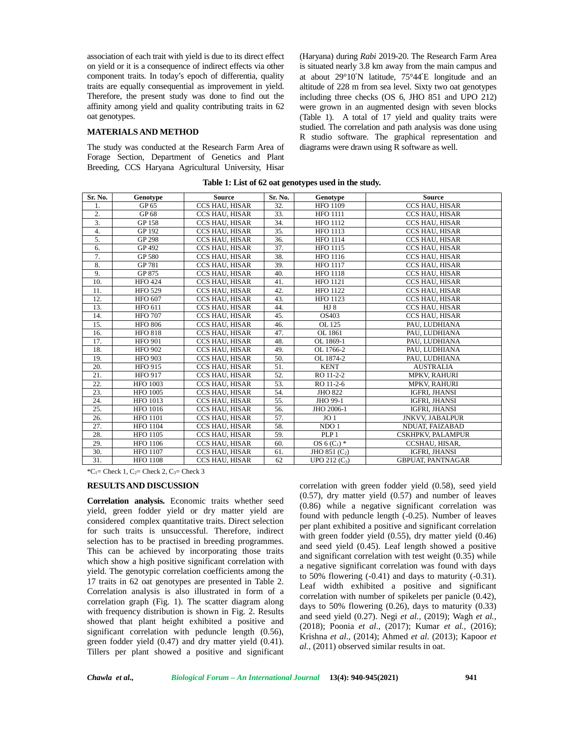association of each trait with yield is due to its direct effect on yield or it is a consequence of indirect effects via other component traits. In today's epoch of differentia, quality traits are equally consequential as improvement in yield. Therefore, the present study was done to find out the affinity among yield and quality contributing traits in 62 oat genotypes.

#### **MATERIALS AND METHOD**

The study was conducted at the Research Farm Area of Forage Section, Department of Genetics and Plant Breeding, CCS Haryana Agricultural University, Hisar

(Haryana) during *Rabi* 2019-20. The Research Farm Area is situated nearly 3.8 km away from the main campus and at about 29°10′N latitude, 75°44′E longitude and an altitude of 228 m from sea level. Sixty two oat genotypes including three checks (OS 6, JHO 851 and UPO 212) were grown in an augmented design with seven blocks (Table 1). A total of 17 yield and quality traits were studied. The correlation and path analysis was done using R studio software. The graphical representation and diagrams were drawn using R software as well.

| Sr. No.          | Genotype        | <b>Source</b>         | Sr. No. | Genotype         | <b>Source</b>            |
|------------------|-----------------|-----------------------|---------|------------------|--------------------------|
| 1.               | GP 65           | <b>CCS HAU, HISAR</b> | 32.     | <b>HFO 1109</b>  | CCS HAU, HISAR           |
| 2.               | GP 68           | CCS HAU, HISAR        | 33.     | <b>HFO 1111</b>  | CCS HAU, HISAR           |
| $\overline{3}$ . | GP 158          | <b>CCS HAU, HISAR</b> | 34.     | <b>HFO 1112</b>  | <b>CCS HAU, HISAR</b>    |
| $\overline{4}$ . | GP 192          | CCS HAU, HISAR        | 35.     | <b>HFO 1113</b>  | CCS HAU, HISAR           |
| 5.               | <b>GP 298</b>   | CCS HAU, HISAR        | 36.     | <b>HFO 1114</b>  | CCS HAU, HISAR           |
| 6.               | GP 492          | <b>CCS HAU, HISAR</b> | 37.     | <b>HFO 1115</b>  | <b>CCS HAU, HISAR</b>    |
| 7.               | GP 580          | CCS HAU, HISAR        | 38.     | <b>HFO 1116</b>  | CCS HAU, HISAR           |
| 8.               | GP 781          | CCS HAU, HISAR        | 39.     | <b>HFO 1117</b>  | CCS HAU, HISAR           |
| 9.               | GP 875          | CCS HAU, HISAR        | 40.     | <b>HFO 1118</b>  | CCS HAU, HISAR           |
| 10.              | <b>HFO 424</b>  | <b>CCS HAU, HISAR</b> | 41.     | <b>HFO</b> 1121  | <b>CCS HAU, HISAR</b>    |
| 11.              | <b>HFO 529</b>  | <b>CCS HAU, HISAR</b> | 42.     | <b>HFO 1122</b>  | <b>CCS HAU, HISAR</b>    |
| 12.              | <b>HFO 607</b>  | CCS HAU, HISAR        | 43.     | <b>HFO 1123</b>  | CCS HAU, HISAR           |
| 13.              | <b>HFO 611</b>  | <b>CCS HAU, HISAR</b> | 44.     | $HJ_8$           | CCS HAU, HISAR           |
| 14.              | <b>HFO 707</b>  | CCS HAU, HISAR        | 45.     | OS403            | CCS HAU, HISAR           |
| 15.              | <b>HFO 806</b>  | <b>CCS HAU, HISAR</b> | 46.     | OL 125           | PAU. LUDHIANA            |
| 16.              | <b>HFO 818</b>  | <b>CCS HAU, HISAR</b> | 47.     | OL 1861          | PAU. LUDHIANA            |
| 17.              | <b>HFO 901</b>  | CCS HAU, HISAR        | 48.     | OL 1869-1        | PAU. LUDHIANA            |
| 18.              | <b>HFO 902</b>  | CCS HAU, HISAR        | 49.     | OL 1766-2        | PAU, LUDHIANA            |
| 19.              | <b>HFO 903</b>  | <b>CCS HAU, HISAR</b> | 50.     | OL 1874-2        | PAU, LUDHIANA            |
| 20.              | <b>HFO 915</b>  | <b>CCS HAU, HISAR</b> | 51.     | <b>KENT</b>      | <b>AUSTRALIA</b>         |
| 21.              | <b>HFO 917</b>  | CCS HAU, HISAR        | 52.     | RO 11-2-2        | <b>MPKV, RAHURI</b>      |
| 22.              | <b>HFO 1003</b> | <b>CCS HAU, HISAR</b> | 53.     | RO 11-2-6        | <b>MPKV, RAHURI</b>      |
| 23.              | <b>HFO 1005</b> | CCS HAU, HISAR        | 54.     | <b>JHO 822</b>   | IGFRI, JHANSI            |
| 24.              | <b>HFO 1013</b> | CCS HAU, HISAR        | 55.     | JHO 99-1         | IGFRI, JHANSI            |
| 25.              | <b>HFO 1016</b> | CCS HAU, HISAR        | 56.     | JHO 2006-1       | IGFRI, JHANSI            |
| 26.              | <b>HFO 1101</b> | CCS HAU, HISAR        | 57.     | JO <sub>1</sub>  | <b>JNKVV. JABALPUR</b>   |
| 27.              | <b>HFO 1104</b> | <b>CCS HAU, HISAR</b> | 58.     | NDO <sub>1</sub> | NDUAT, FAIZABAD          |
| 28.              | <b>HFO 1105</b> | CCS HAU, HISAR        | 59.     | PLP <sub>1</sub> | <b>CSKHPKV, PALAMPUR</b> |
| 29.              | <b>HFO</b> 1106 | <b>CCS HAU, HISAR</b> | 60.     | OS $6(C_1)$ *    | CCSHAU, HISAR,           |
| 30.              | <b>HFO 1107</b> | CCS HAU, HISAR        | 61.     | JHO 851 $(C2)$   | IGFRI, JHANSI            |
| 31.              | <b>HFO 1108</b> | <b>CCS HAU, HISAR</b> | 62      | $UPO 212 (C_3)$  | <b>GBPUAT, PANTNAGAR</b> |

| Table 1: List of 62 oat genotypes used in the study. |  |
|------------------------------------------------------|--|
|------------------------------------------------------|--|

 $^{\ast}C_1$ = Check 1, C<sub>2</sub>= Check 2, C<sub>3</sub>= Check 3

### **RESULTS AND DISCUSSION**

**Correlation analysis.** Economic traits whether seed yield, green fodder yield or dry matter yield are considered complex quantitative traits. Direct selection for such traits is unsuccessful. Therefore, indirect selection has to be practised in breeding programmes. This can be achieved by incorporating those traits which show a high positive significant correlation with yield. The genotypic correlation coefficients among the 17 traits in 62 oat genotypes are presented in Table 2. Correlation analysis is also illustrated in form of a correlation graph (Fig. 1). The scatter diagram along with frequency distribution is shown in Fig. 2. Results showed that plant height exhibited a positive and significant correlation with peduncle length (0.56), green fodder yield (0.47) and dry matter yield (0.41). Tillers per plant showed a positive and significant correlation with green fodder yield (0.58), seed yield (0.57), dry matter yield (0.57) and number of leaves (0.86) while a negative significant correlation was found with peduncle length (-0.25). Number of leaves per plant exhibited a positive and significant correlation with green fodder yield (0.55), dry matter yield (0.46) and seed yield (0.45). Leaf length showed a positive and significant correlation with test weight (0.35) while a negative significant correlation was found with days to 50% flowering  $(-0.41)$  and days to maturity  $(-0.31)$ . Leaf width exhibited a positive and significant correlation with number of spikelets per panicle (0.42), days to 50% flowering  $(0.26)$ , days to maturity  $(0.33)$ and seed yield (0.27). Negi *et al.,* (2019); Wagh *et al.,* (2018); Poonia *et al*., (2017); Kumar *et al.,* (2016); Krishna *et al*., (2014); Ahmed *et al*. (2013); Kapoor *et al.,* (2011) observed similar results in oat.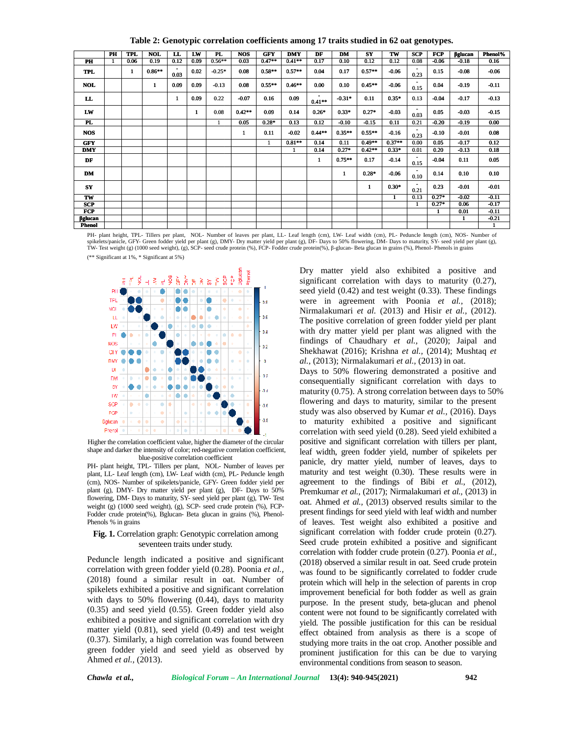**Table 2: Genotypic correlation coefficients among 17 traits studied in 62 oat genotypes.**

|                          |                                                                                |                               |                                                                                                                                                                                                                                                                                                                                                                                                                                                                                                                                                                                                                                                                                                                                                                                                                    |              |              |          |              |                                       |                      |                  | Table 2: Genotypic correlation coefficients among 17 traits studied in 62 oat genotypes. |                       |                      |                        |                 |                                                                                                                                                                                                                                                                                                                                                                                                                                                                                                                                                                                                                                                                                                                                                                                                                                                                                                                                                                                                                                                                                          |                    |
|--------------------------|--------------------------------------------------------------------------------|-------------------------------|--------------------------------------------------------------------------------------------------------------------------------------------------------------------------------------------------------------------------------------------------------------------------------------------------------------------------------------------------------------------------------------------------------------------------------------------------------------------------------------------------------------------------------------------------------------------------------------------------------------------------------------------------------------------------------------------------------------------------------------------------------------------------------------------------------------------|--------------|--------------|----------|--------------|---------------------------------------|----------------------|------------------|------------------------------------------------------------------------------------------|-----------------------|----------------------|------------------------|-----------------|------------------------------------------------------------------------------------------------------------------------------------------------------------------------------------------------------------------------------------------------------------------------------------------------------------------------------------------------------------------------------------------------------------------------------------------------------------------------------------------------------------------------------------------------------------------------------------------------------------------------------------------------------------------------------------------------------------------------------------------------------------------------------------------------------------------------------------------------------------------------------------------------------------------------------------------------------------------------------------------------------------------------------------------------------------------------------------------|--------------------|
|                          | PH                                                                             | <b>TPL</b>                    | <b>NOL</b>                                                                                                                                                                                                                                                                                                                                                                                                                                                                                                                                                                                                                                                                                                                                                                                                         | LL           | LW           | PL       | <b>NOS</b>   | <b>GFY</b>                            | <b>DMY</b>           | DF               | DM                                                                                       | $S\mathbf{Y}$         | TW                   | SCP                    | <b>FCP</b>      | glucan                                                                                                                                                                                                                                                                                                                                                                                                                                                                                                                                                                                                                                                                                                                                                                                                                                                                                                                                                                                                                                                                                   | Phenol%            |
| PH                       |                                                                                | 0.06                          | 0.19                                                                                                                                                                                                                                                                                                                                                                                                                                                                                                                                                                                                                                                                                                                                                                                                               | 0.12         | 0.09         | $0.56**$ | 0.03         | $0.47**$                              | $0.41**$             | 0.17             | 0.10                                                                                     | 0.12                  | 0.12                 | 0.08                   | $-0.06$         | $-0.18$                                                                                                                                                                                                                                                                                                                                                                                                                                                                                                                                                                                                                                                                                                                                                                                                                                                                                                                                                                                                                                                                                  | 0.16               |
| <b>TPL</b>               |                                                                                | 1                             | $0.86**$                                                                                                                                                                                                                                                                                                                                                                                                                                                                                                                                                                                                                                                                                                                                                                                                           | 0.03         | 0.02         | $-0.25*$ | 0.08         | $0.58**$                              | $0.57**$             | 0.04             | 0.17                                                                                     | $0.57**$              | $-0.06$              | 0.23                   | 0.15            | $-0.08$                                                                                                                                                                                                                                                                                                                                                                                                                                                                                                                                                                                                                                                                                                                                                                                                                                                                                                                                                                                                                                                                                  | $-0.06$            |
| <b>NOL</b>               |                                                                                |                               | $\mathbf{1}$                                                                                                                                                                                                                                                                                                                                                                                                                                                                                                                                                                                                                                                                                                                                                                                                       | 0.09         | 0.09         | $-0.13$  | 0.08         | $0.55**$                              | $0.46**$             | 0.00             | 0.10                                                                                     | $0.45**$              | $-0.06$              | 0.15                   | 0.04            | $-0.19$                                                                                                                                                                                                                                                                                                                                                                                                                                                                                                                                                                                                                                                                                                                                                                                                                                                                                                                                                                                                                                                                                  | $-0.11$            |
| LL                       |                                                                                |                               |                                                                                                                                                                                                                                                                                                                                                                                                                                                                                                                                                                                                                                                                                                                                                                                                                    | $\mathbf{1}$ | 0.09         | 0.22     | $-0.07$      | 0.16                                  | 0.09                 | $0.41**$         | $-0.31*$                                                                                 | 0.11                  | $0.35*$              | 0.13                   | $-0.04$         | $-0.17$                                                                                                                                                                                                                                                                                                                                                                                                                                                                                                                                                                                                                                                                                                                                                                                                                                                                                                                                                                                                                                                                                  | $-0.13$            |
| LW                       |                                                                                |                               |                                                                                                                                                                                                                                                                                                                                                                                                                                                                                                                                                                                                                                                                                                                                                                                                                    |              | $\mathbf{1}$ | 0.08     | $0.42**$     | 0.09                                  | 0.14                 | $0.26*$          | $0.33*$                                                                                  | $0.27*$               | $-0.03$              | 0.03                   | 0.05            | $-0.03$                                                                                                                                                                                                                                                                                                                                                                                                                                                                                                                                                                                                                                                                                                                                                                                                                                                                                                                                                                                                                                                                                  | $-0.15$            |
| PL                       |                                                                                |                               |                                                                                                                                                                                                                                                                                                                                                                                                                                                                                                                                                                                                                                                                                                                                                                                                                    |              |              | 1        | 0.05         | $0.28*$                               | 0.13                 | 0.12             | $-0.10$                                                                                  | $-0.15$               | 0.11                 | 0.21<br>$\blacksquare$ | $-0.20$         | $-0.19$                                                                                                                                                                                                                                                                                                                                                                                                                                                                                                                                                                                                                                                                                                                                                                                                                                                                                                                                                                                                                                                                                  | 0.00               |
| <b>NOS</b>               |                                                                                |                               |                                                                                                                                                                                                                                                                                                                                                                                                                                                                                                                                                                                                                                                                                                                                                                                                                    |              |              |          | $\mathbf{1}$ | 0.11                                  | $-0.02$<br>$0.81***$ | $0.44**$<br>0.14 | $0.35***$<br>0.11                                                                        | $0.55***$<br>$0.49**$ | $-0.16$<br>$0.37***$ | 0.23<br>0.00           | $-0.10$<br>0.05 | $-0.01$<br>$-0.17$                                                                                                                                                                                                                                                                                                                                                                                                                                                                                                                                                                                                                                                                                                                                                                                                                                                                                                                                                                                                                                                                       | 0.08<br>0.12       |
| <b>GFY</b><br><b>DMY</b> |                                                                                |                               |                                                                                                                                                                                                                                                                                                                                                                                                                                                                                                                                                                                                                                                                                                                                                                                                                    |              |              |          |              | 1                                     | -1                   | 0.14             | $0.27*$                                                                                  | $0.42**$              | $0.33*$              | 0.01                   | 0.20            | $-0.13$                                                                                                                                                                                                                                                                                                                                                                                                                                                                                                                                                                                                                                                                                                                                                                                                                                                                                                                                                                                                                                                                                  | 0.18               |
| DF                       |                                                                                |                               |                                                                                                                                                                                                                                                                                                                                                                                                                                                                                                                                                                                                                                                                                                                                                                                                                    |              |              |          |              |                                       |                      | $\mathbf{1}$     | $0.75***$                                                                                | 0.17                  | $-0.14$              | 0.15                   | $-0.04$         | 0.11                                                                                                                                                                                                                                                                                                                                                                                                                                                                                                                                                                                                                                                                                                                                                                                                                                                                                                                                                                                                                                                                                     | 0.05               |
| DM                       |                                                                                |                               |                                                                                                                                                                                                                                                                                                                                                                                                                                                                                                                                                                                                                                                                                                                                                                                                                    |              |              |          |              |                                       |                      |                  | 1                                                                                        | $0.28*$               | $-0.06$              | 0.10                   | 0.14            | 0.10                                                                                                                                                                                                                                                                                                                                                                                                                                                                                                                                                                                                                                                                                                                                                                                                                                                                                                                                                                                                                                                                                     | 0.10               |
| ${\bf SY}$               |                                                                                |                               |                                                                                                                                                                                                                                                                                                                                                                                                                                                                                                                                                                                                                                                                                                                                                                                                                    |              |              |          |              |                                       |                      |                  |                                                                                          | $\mathbf{1}$          | $0.30*$              | 0.21                   | 0.23            | $-0.01$                                                                                                                                                                                                                                                                                                                                                                                                                                                                                                                                                                                                                                                                                                                                                                                                                                                                                                                                                                                                                                                                                  | $-0.01$            |
| TW                       |                                                                                |                               |                                                                                                                                                                                                                                                                                                                                                                                                                                                                                                                                                                                                                                                                                                                                                                                                                    |              |              |          |              |                                       |                      |                  |                                                                                          |                       | 1                    | 0.13                   | $0.27*$         | $-0.02$                                                                                                                                                                                                                                                                                                                                                                                                                                                                                                                                                                                                                                                                                                                                                                                                                                                                                                                                                                                                                                                                                  | $-0.11$            |
| <b>SCP</b><br>FCP        |                                                                                |                               |                                                                                                                                                                                                                                                                                                                                                                                                                                                                                                                                                                                                                                                                                                                                                                                                                    |              |              |          |              |                                       |                      |                  |                                                                                          |                       |                      | 1                      | $0.27*$<br>1    | 0.06<br>0.01                                                                                                                                                                                                                                                                                                                                                                                                                                                                                                                                                                                                                                                                                                                                                                                                                                                                                                                                                                                                                                                                             | $-0.17$<br>$-0.11$ |
| glucan                   |                                                                                |                               |                                                                                                                                                                                                                                                                                                                                                                                                                                                                                                                                                                                                                                                                                                                                                                                                                    |              |              |          |              |                                       |                      |                  |                                                                                          |                       |                      |                        |                 | $\mathbf{1}$                                                                                                                                                                                                                                                                                                                                                                                                                                                                                                                                                                                                                                                                                                                                                                                                                                                                                                                                                                                                                                                                             | $-0.21$            |
| Phenol                   |                                                                                |                               |                                                                                                                                                                                                                                                                                                                                                                                                                                                                                                                                                                                                                                                                                                                                                                                                                    |              |              |          |              |                                       |                      |                  |                                                                                          |                       |                      |                        |                 | PH- plant height, TPL- Tillers per plant, NOL- Number of leaves per plant, LL- Leaf length (cm), LW- Leaf width (cm), PL- Peduncle length (cm), NOS- Number of                                                                                                                                                                                                                                                                                                                                                                                                                                                                                                                                                                                                                                                                                                                                                                                                                                                                                                                           | 1                  |
|                          | CI Y<br>DMY<br>DI<br>DM<br>SY<br>TW.<br>SCP<br>FCP<br><b>Bglucan</b><br>Phenol | ٠<br>٠<br>Phenols % in grains | ٠<br>۰<br>۰<br>Higher the correlation coefficient value, higher the diameter of the circular<br>shape and darker the intensity of color; red-negative correlation coefficient,<br>blue-positive correlation coefficient<br>PH- plant height, TPL- Tillers per plant, NOL- Number of leaves per<br>plant, LL- Leaf length (cm), LW- Leaf width (cm), PL- Peduncle length<br>(cm), NOS- Number of spikelets/panicle, GFY- Green fodder yield per<br>plant (g), DMY- Dry matter yield per plant (g), $DF-$ Days to 50%<br>flowering, DM- Days to maturity, SY- seed yield per plant (g), TW- Test<br>weight $(g)$ (1000 seed weight), $(g)$ , SCP- seed crude protein $(\%)$ , FCP-<br>Fodder crude protein(%), Bglucan- Beta glucan in grains (%), Phenol-<br>Fig. 1. Correlation graph: Genotypic correlation among |              |              |          | ٠<br>۰       | 0.2<br>o<br>02<br>44<br>$-0.6$<br>0.8 |                      |                  | al., (2013); Nirmalakumari et al., (2013) in oat.                                        |                       |                      |                        |                 | Shekhawat (2016); Krishna et al., (2014); Mushtaq et<br>Days to 50% flowering demonstrated a positive and<br>consequentially significant correlation with days to<br>maturity $(0.75)$ . A strong correlation between days to 50%<br>flowering and days to maturity, similar to the present<br>study was also observed by Kumar et al., (2016). Days<br>to maturity exhibited a positive and significant<br>correlation with seed yield (0.28). Seed yield exhibited a<br>positive and significant correlation with tillers per plant,<br>leaf width, green fodder yield, number of spikelets per<br>panicle, dry matter yield, number of leaves, days to<br>maturity and test weight $(0.30)$ . These results were in<br>agreement to the findings of Bibi et al., (2012),<br>Premkumar et al., (2017); Nirmalakumari et al., (2013) in<br>oat. Ahmed et al., (2013) observed results similar to the<br>present findings for seed yield with leaf width and number<br>of leaves. Test weight also exhibited a positive and<br>significant correlation with fodder crude protein (0.27). |                    |
|                          |                                                                                |                               | seventeen traits under study.<br>Peduncle length indicated a positive and significant<br>correlation with green fodder yield (0.28). Poonia et al.,<br>(2018) found a similar result in oat. Number of<br>spikelets exhibited a positive and significant correlation<br>with days to $50\%$ flowering $(0.44)$ , days to maturity<br>$(0.35)$ and seed yield $(0.55)$ . Green fodder yield also<br>exhibited a positive and significant correlation with dry<br>matter yield (0.81), seed yield (0.49) and test weight<br>(0.37). Similarly, a high correlation was found between<br>green fodder yield and seed yield as observed by<br>Ahmed et al., (2013).                                                                                                                                                     |              |              |          |              |                                       |                      |                  | environmental conditions from season to season.                                          |                       |                      |                        |                 | Seed crude protein exhibited a positive and significant<br>correlation with fodder crude protein (0.27). Poonia et al.,<br>(2018) observed a similar result in oat. Seed crude protein<br>was found to be significantly correlated to fodder crude<br>protein which will help in the selection of parents in crop<br>improvement beneficial for both fodder as well as grain<br>purpose. In the present study, beta-glucan and phenol<br>content were not found to be significantly correlated with<br>yield. The possible justification for this can be residual<br>effect obtained from analysis as there is a scope of<br>studying more traits in the oat crop. Another possible and<br>prominent justification for this can be due to varying                                                                                                                                                                                                                                                                                                                                        |                    |
|                          | Chawla et al.,                                                                 |                               |                                                                                                                                                                                                                                                                                                                                                                                                                                                                                                                                                                                                                                                                                                                                                                                                                    |              |              |          |              |                                       |                      |                  | Biological Forum - An International Journal 13(4): 940-945(2021)                         |                       |                      |                        |                 | 942                                                                                                                                                                                                                                                                                                                                                                                                                                                                                                                                                                                                                                                                                                                                                                                                                                                                                                                                                                                                                                                                                      |                    |



Higher the correlation coefficient value, higher the diameter of the circular shape and darker the intensity of color; red-negative correlation coefficient, blue-positive correlation coefficient

#### **Fig. 1.** Correlation graph: Genotypic correlation among seventeen traits under study.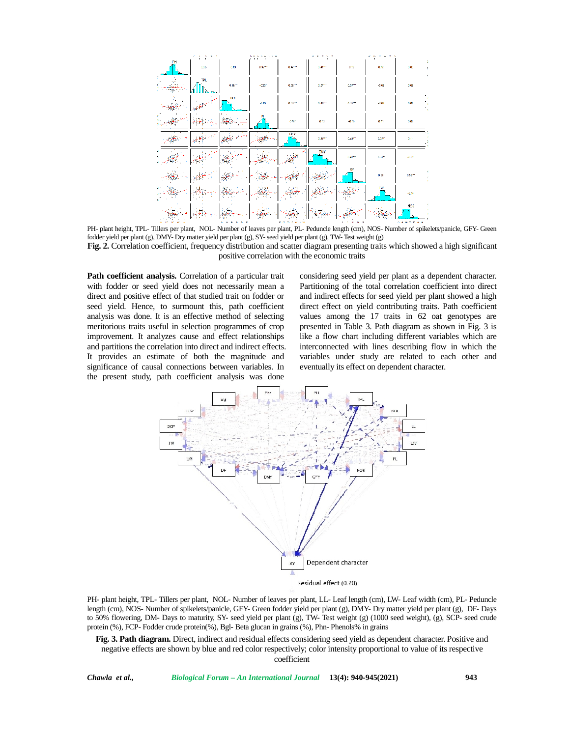

PH- plant height, TPL- Tillers per plant, NOL- Number of leaves per plant, PL- Peduncle length (cm), NOS- Number of spikelets/panicle, GFY- Green fodder yield per plant (g), DMY- Dry matter yield per plant (g), SY- seed yield per plant (g), TW- Test weight (g) Fig. 2. Correlation coefficient, frequency distribution and scatter diagram presenting traits which showed a high significant positive correlation with the economic traits

**Path coefficient analysis.** Correlation of a particular trait with fodder or seed yield does not necessarily mean a direct and positive effect of that studied trait on fodder or seed yield. Hence, to surmount this, path coefficient analysis was done. It is an effective method of selecting meritorious traits useful in selection programmes of crop improvement. It analyzes cause and effect relationships and partitions the correlation into direct and indirect effects. It provides an estimate of both the magnitude and significance of causal connections between variables. In the present study, path coefficient analysis was done

considering seed yield per plant as a dependent character. Partitioning of the total correlation coefficient into direct and indirect effects for seed yield per plant showed a high direct effect on yield contributing traits. Path coefficient direct effect on yield contributing traits. Path coefficient<br>values among the 17 traits in 62 oat genotypes are presented in Table 3. Path diagram as shown in Fig. 3 is presented in Table 3. Path diagram as shown in Fig. 3 is<br>like a flow chart including different variables which are interconnected with lines describing flow in which the variables under study are related to each other and eventually its effect on dependent character. eventually its effect on dependent character. positive correlation with the economic traits<br>or seed yield does not necessarily mean a<br>positive effect of that studied trait on fodder or<br>and indirect effects for seed yield per plant showed a high<br>Hence, to surmount this



PH- plant height, TPL- Tillers per plant, NOL- Number of leaves per plant, LL- Leaf length (cm), LW- Leaf width (cm), PL- Peduncle length (cm), NOS- Number of spikelets/panicle, GFY- Green fodder yield per plant (g), DMY- Dry matter yield per plant (g), DF- Days to 50% flowering, DM- Days to maturity, SY- seed yield per plant (g), TW- Test weight (g) (1000 seed weight), (g), SCP- seed crude<br>protein (%), FCP- Fodder crude protein(%), Bgl- Beta glucan in grains (%), Phn- Phenols% in protein (%), FCP- Fodder crude protein(%), Bgl- Beta glucan in grains (%), Phn- Phenols% in grains

Fig. 3. Path diagram. Direct, indirect and residual effects considering seed yield as dependent character. Positive and negative effects are shown by blue and red color respectively; color intensity proportional to value of its respective coefficient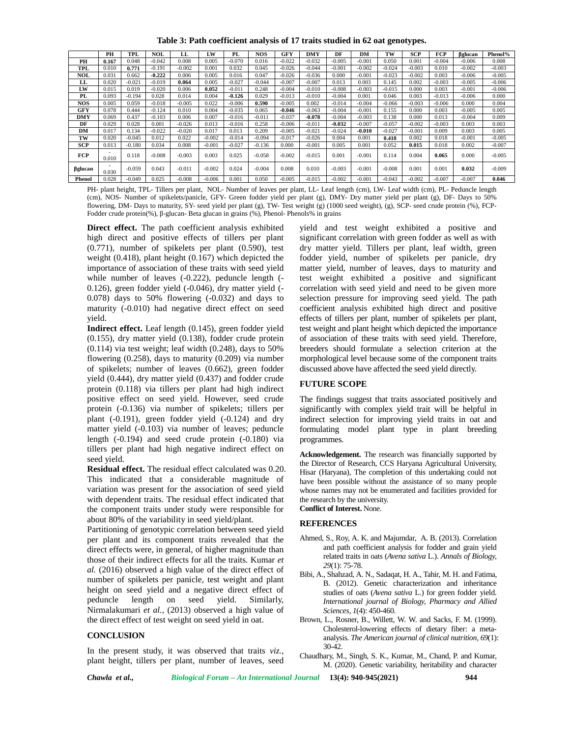**Table 3: Path coefficient analysis of 17 traits studied in 62 oat genotypes.**

|            | PH                                | TPI.     | NOL      | LL.      | LW       | PL.      | <b>NOS</b> | GFY      | DMY      | DF       | DM       | TW       | SCP      | FCP      | glucan   | Phenol%  |
|------------|-----------------------------------|----------|----------|----------|----------|----------|------------|----------|----------|----------|----------|----------|----------|----------|----------|----------|
| PН         | 0.167                             | 0.048    | $-0.042$ | 0.008    | 0.005    | $-0.070$ | 0.016      | $-0.022$ | $-0.032$ | $-0.005$ | $-0.001$ | 0.050    | 0.001    | $-0.004$ | $-0.006$ | 0.008    |
| TPL        | 0.010                             | 0.771    | $-0.191$ | $-0.002$ | 0.001    | 0.032    | 0.045      | $-0.026$ | $-0.044$ | $-0.001$ | $-0.002$ | $-0.024$ | $-0.003$ | 0.010    | $-0.002$ | $-0.003$ |
| NOL        | 0.031                             | 0.662    | $-0.222$ | 0.006    | 0.005    | 0.016    | 0.047      | $-0.026$ | $-0.036$ | 0.000    | $-0.001$ | $-0.023$ | $-0.002$ | 0.003    | $-0.006$ | $-0.005$ |
| LL         | 0.020                             | $-0.021$ | $-0.019$ | 0.064    | 0.005    | $-0.027$ | $-0.044$   | $-0.007$ | $-0.007$ | 0.013    | 0.003    | 0.145    | 0.002    | $-0.003$ | $-0.005$ | $-0.006$ |
| LW         | 0.015                             | 0.019    | $-0.020$ | 0.006    | 0.052    | $-0.011$ | 0.248      | $-0.004$ | $-0.010$ | $-0.008$ | $-0.003$ | $-0.015$ | 0.000    | 0.003    | $-0.001$ | $-0.006$ |
| PL         | 0.093                             | $-0.194$ | 0.028    | 0.014    | 0.004    | $-0.126$ | 0.029      | $-0.013$ | $-0.010$ | $-0.004$ | 0.001    | 0.046    | 0.003    | $-0.013$ | $-0.006$ | 0.000    |
| <b>NOS</b> | 0.005                             | 0.059    | $-0.018$ | $-0.005$ | 0.022    | $-0.006$ | 0.590      | $-0.005$ | 0.002    | $-0.014$ | $-0.004$ | $-0.066$ | $-0.003$ | $-0.006$ | 0.000    | 0.004    |
| GFY        | 0.078                             | 0.444    | $-0.124$ | 0.010    | 0.004    | $-0.035$ | 0.065      | $-0.046$ | $-0.063$ | $-0.004$ | $-0.001$ | 0.155    | 0.000    | 0.003    | $-0.005$ | 0.005    |
| <b>DMY</b> | 0.069                             | 0.437    | $-0.103$ | 0.006    | 0.007    | $-0.016$ | $-0.011$   | $-0.037$ | $-0.078$ | $-0.004$ | $-0.003$ | 0.138    | 0.000    | 0.013    | $-0.004$ | 0.009    |
| DF         | 0.029                             | 0.028    | 0.001    | $-0.026$ | 0.013    | $-0.016$ | 0.258      | $-0.006$ | $-0.011$ | $-0.032$ | $-0.007$ | $-0.057$ | $-0.002$ | $-0.003$ | 0.003    | 0.003    |
| DM         | 0.017                             | 0.134    | $-0.022$ | $-0.020$ | 0.017    | 0.013    | 0.209      | $-0.005$ | $-0.021$ | $-0.024$ | $-0.010$ | $-0.027$ | $-0.001$ | 0.009    | 0.003    | 0.005    |
| тw         | 0.020                             | $-0.045$ | 0.012    | 0.022    | $-0.002$ | $-0.014$ | $-0.094$   | $-0.017$ | $-0.026$ | 0.004    | 0.001    | 0.418    | 0.002    | 0.018    | $-0.001$ | $-0.005$ |
| <b>SCP</b> | 0.013                             | $-0.180$ | 0.034    | 0.008    | $-0.001$ | $-0.027$ | $-0.136$   | 0.000    | $-0.001$ | 0.005    | 0.001    | 0.052    | 0.015    | 0.018    | 0.002    | $-0.007$ |
| FCP        | $\overline{\phantom{0}}$<br>0.010 | 0.118    | $-0.008$ | $-0.003$ | 0.003    | 0.025    | $-0.058$   | $-0.002$ | $-0.015$ | 0.001    | $-0.001$ | 0.114    | 0.004    | 0.065    | 0.000    | $-0.005$ |
| glucan     | -<br>0.030                        | $-0.059$ | 0.043    | $-0.01$  | $-0.002$ | 0.024    | $-0.004$   | 0.008    | 0.010    | $-0.003$ | $-0.001$ | $-0.008$ | 0.001    | 0.001    | 0.032    | $-0.009$ |
| Phenol     | 0.028                             | $-0.049$ | 0.025    | $-0.008$ | $-0.006$ | 0.001    | 0.050      | $-0.005$ | $-0.015$ | $-0.002$ | $-0.001$ | $-0.043$ | $-0.002$ | $-0.007$ | $-0.007$ | 0.046    |

PH- plant height, TPL- Tillers per plant, NOL- Number of leaves per plant, LL- Leaf length (cm), LW- Leaf width (cm), PL- Peduncle length (cm), NOS- Number of spikelets/panicle, GFY- Green fodder yield per plant (g), DMY- Dry matter yield per plant (g), DF- Days to 50% flowering, DM- Days to maturity, SY- seed yield per plant (g), TW- Test weight (g) (1000 seed weight), (g), SCP- seed crude protein (%), FCP- Fodder crude protein(%), -glucan- Beta glucan in grains (%), Phenol- Phenols% in grains

**Direct effect.** The path coefficient analysis exhibited high direct and positive effects of tillers per plant (0.771), number of spikelets per plant (0.590), test weight (0.418), plant height (0.167) which depicted the importance of association of these traits with seed yield while number of leaves (-0.222), peduncle length (- 0.126), green fodder yield (-0.046), dry matter yield (- 0.078) days to 50% flowering (-0.032) and days to maturity (-0.010) had negative direct effect on seed yield.

**Indirect effect.** Leaf length (0.145), green fodder yield (0.155), dry matter yield (0.138), fodder crude protein  $(0.114)$  via test weight; leaf width  $(0.248)$ , days to 50% flowering  $(0.258)$ , days to maturity  $(0.209)$  via number of spikelets; number of leaves (0.662), green fodder yield (0.444), dry matter yield (0.437) and fodder crude protein (0.118) via tillers per plant had high indirect positive effect on seed yield. However, seed crude protein (-0.136) via number of spikelets; tillers per plant (-0.191), green fodder yield (-0.124) and dry matter yield (-0.103) via number of leaves; peduncle length (-0.194) and seed crude protein (-0.180) via tillers per plant had high negative indirect effect on seed yield.

**Residual effect.** The residual effect calculated was 0.20. This indicated that a considerable magnitude of variation was present for the association of seed yield with dependent traits. The residual effect indicated that the component traits under study were responsible for about 80% of the variability in seed yield/plant.

Partitioning of genotypic correlation between seed yield per plant and its component traits revealed that the direct effects were, in general, of higher magnitude than those of their indirect effects for all the traits. Kumar *et al.* (2016) observed a high value of the direct effect of number of spikelets per panicle, test weight and plant height on seed yield and a negative direct effect of peduncle length on seed yield. Similarly, peduncle length on seed Nirmalakumari *et al.,* (2013) observed a high value of the direct effect of test weight on seed yield in oat.

### **CONCLUSION**

In the present study, it was observed that traits *viz.,* plant height, tillers per plant, number of leaves, seed yield and test weight exhibited a positive and significant correlation with green fodder as well as with dry matter yield. Tillers per plant, leaf width, green fodder yield, number of spikelets per panicle, dry matter yield, number of leaves, days to maturity and test weight exhibited a positive and significant correlation with seed yield and need to be given more selection pressure for improving seed yield. The path coefficient analysis exhibited high direct and positive effects of tillers per plant, number of spikelets per plant, test weight and plant height which depicted the importance of association of these traits with seed yield. Therefore, breeders should formulate a selection criterion at the morphological level because some of the component traits discussed above have affected the seed yield directly.

### **FUTURE SCOPE**

The findings suggest that traits associated positively and significantly with complex yield trait will be helpful in indirect selection for improving yield traits in oat and formulating model plant type in plant breeding programmes.

**Acknowledgement.** The research was financially supported by the Director of Research, CCS Haryana Agricultural University, Hisar (Haryana), The completion of this undertaking could not have been possible without the assistance of so many people whose names may not be enumerated and facilities provided for the research by the university. **Conflict of Interest.** None.

## **REFERENCES**

- Ahmed, S., Roy, A. K. and Majumdar, A. B. (2013). Correlation and path coefficient analysis for fodder and grain yield related traits in oats (*Avena sativa* L.). *Annals of Biology, 29*(1): 75-78.
- Bibi, A., Shahzad, A. N., Sadaqat, H. A., Tahir, M. H. and Fatima, B. (2012). Genetic characterization and inheritance studies of oats (*Avena sativa* L.) for green fodder yield. *International journal of Biology, Pharmacy and Allied Sciences, 1*(4): 450-460.
- Brown, L., Rosner, B., Willett, W. W. and Sacks, F. M. (1999). Cholesterol-lowering effects of dietary fiber: a meta analysis. *The American journal of clinical nutrition, 69*(1): 30-42.
- Chaudhary, M., Singh, S. K., Kumar, M., Chand, P. and Kumar, M. (2020). Genetic variability, heritability and character

*Chawla et al., Biological Forum – An International Journal* **13(4): 940-945(2021) 944**